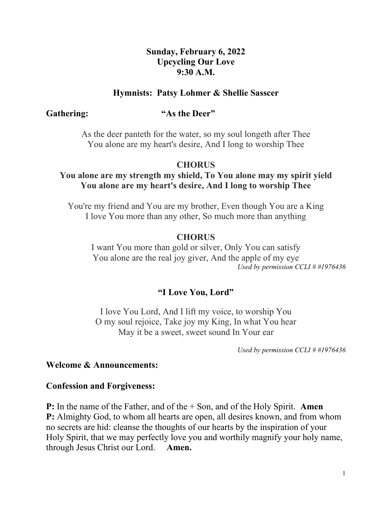### **Sunday, February 6, 2022 Upcycling Our Love 9:30 A.M.**

# **Hymnists: Patsy Lohmer & Shellie Sasscer**

#### **Gathering: "As the Deer"**

As the deer panteth for the water, so my soul longeth after Thee You alone are my heart's desire, And I long to worship Thee

#### **CHORUS**

#### **You alone are my strength my shield, To You alone may my spirit yield You alone are my heart's desire, And I long to worship Thee**

You're my friend and You are my brother, Even though You are a King I love You more than any other, So much more than anything

# **CHORUS**

I want You more than gold or silver, Only You can satisfy You alone are the real joy giver, And the apple of my eye *Used by permission CCLI # #1976436*

### **"I Love You, Lord"**

I love You Lord, And I lift my voice, to worship You O my soul rejoice, Take joy my King, In what You hear May it be a sweet, sweet sound In Your ear

*Used by permission CCLI # #1976436*

#### **Welcome & Announcements:**

#### **Confession and Forgiveness:**

**P:** In the name of the Father, and of the + Son, and of the Holy Spirit. **Amen P:** Almighty God, to whom all hearts are open, all desires known, and from whom no secrets are hid: cleanse the thoughts of our hearts by the inspiration of your Holy Spirit, that we may perfectly love you and worthily magnify your holy name, through Jesus Christ our Lord. **Amen.**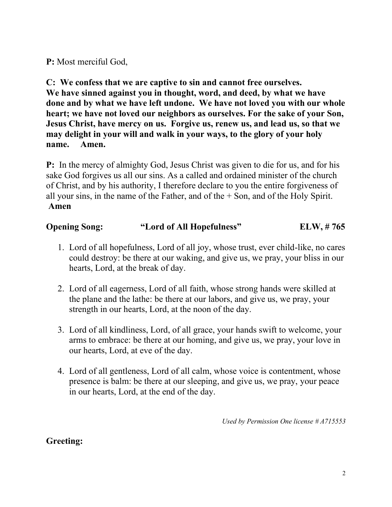**P:** Most merciful God,

**C: We confess that we are captive to sin and cannot free ourselves. We have sinned against you in thought, word, and deed, by what we have done and by what we have left undone. We have not loved you with our whole heart; we have not loved our neighbors as ourselves. For the sake of your Son, Jesus Christ, have mercy on us. Forgive us, renew us, and lead us, so that we may delight in your will and walk in your ways, to the glory of your holy name. Amen.**

**P:** In the mercy of almighty God, Jesus Christ was given to die for us, and for his sake God forgives us all our sins. As a called and ordained minister of the church of Christ, and by his authority, I therefore declare to you the entire forgiveness of all your sins, in the name of the Father, and of the  $+$  Son, and of the Holy Spirit. **Amen**

| <b>Opening Song:</b> | "Lord of All Hopefulness" | ELW, #765 |
|----------------------|---------------------------|-----------|
|                      |                           |           |

- 1. Lord of all hopefulness, Lord of all joy, whose trust, ever child-like, no cares could destroy: be there at our waking, and give us, we pray, your bliss in our hearts, Lord, at the break of day.
- 2. Lord of all eagerness, Lord of all faith, whose strong hands were skilled at the plane and the lathe: be there at our labors, and give us, we pray, your strength in our hearts, Lord, at the noon of the day.
- 3. Lord of all kindliness, Lord, of all grace, your hands swift to welcome, your arms to embrace: be there at our homing, and give us, we pray, your love in our hearts, Lord, at eve of the day.
- 4. Lord of all gentleness, Lord of all calm, whose voice is contentment, whose presence is balm: be there at our sleeping, and give us, we pray, your peace in our hearts, Lord, at the end of the day.

*Used by Permission One license # A715553*

**Greeting:**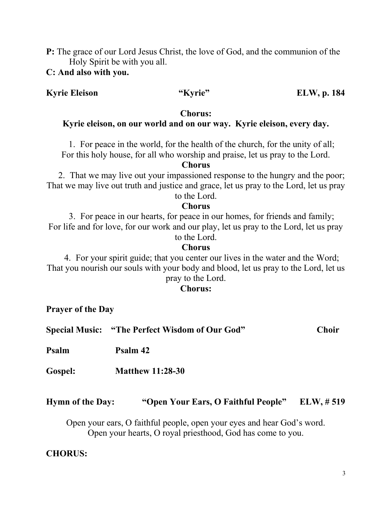**P:** The grace of our Lord Jesus Christ, the love of God, and the communion of the Holy Spirit be with you all.

**C: And also with you.** 

# **Kyrie Eleison** "Kyrie" ELW, p. 184

# **Chorus:**

# **Kyrie eleison, on our world and on our way. Kyrie eleison, every day.**

1. For peace in the world, for the health of the church, for the unity of all; For this holy house, for all who worship and praise, let us pray to the Lord.

### **Chorus**

2. That we may live out your impassioned response to the hungry and the poor; That we may live out truth and justice and grace, let us pray to the Lord, let us pray to the Lord.

# **Chorus**

3. For peace in our hearts, for peace in our homes, for friends and family; For life and for love, for our work and our play, let us pray to the Lord, let us pray to the Lord.

# **Chorus**

4. For your spirit guide; that you center our lives in the water and the Word; That you nourish our souls with your body and blood, let us pray to the Lord, let us

# pray to the Lord.

**Chorus:**

**Prayer of the Day**

**Special Music: "The Perfect Wisdom of Our God" Choir**

**Psalm Psalm 42**

**Gospel: Matthew 11:28-30**

**Hymn of the Day: "Open Your Ears, O Faithful People" ELW, # 519**

Open your ears, O faithful people, open your eyes and hear God's word. Open your hearts, O royal priesthood, God has come to you.

# **CHORUS:**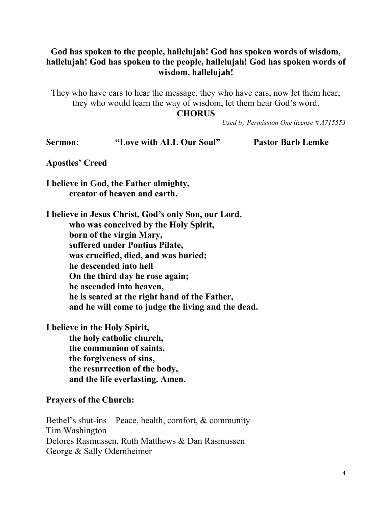# **God has spoken to the people, hallelujah! God has spoken words of wisdom, hallelujah! God has spoken to the people, hallelujah! God has spoken words of wisdom, hallelujah!**

They who have ears to hear the message, they who have ears, now let them hear; they who would learn the way of wisdom, let them hear God's word.

**CHORUS**

*Used by Permission One license # A715553*

| Sermon: | "Love with ALL Our Soul" | <b>Pastor Barb Lemke</b> |
|---------|--------------------------|--------------------------|
|         |                          |                          |

**Apostles' Creed** 

**I believe in God, the Father almighty, creator of heaven and earth.**

**I believe in Jesus Christ, God's only Son, our Lord, who was conceived by the Holy Spirit, born of the virgin Mary, suffered under Pontius Pilate, was crucified, died, and was buried; he descended into hell On the third day he rose again; he ascended into heaven, he is seated at the right hand of the Father, and he will come to judge the living and the dead.**

**I believe in the Holy Spirit,**

**the holy catholic church, the communion of saints, the forgiveness of sins, the resurrection of the body, and the life everlasting. Amen.**

#### **Prayers of the Church:**

Bethel's shut-ins – Peace, health, comfort,  $&$  community Tim Washington Delores Rasmussen, Ruth Matthews & Dan Rasmussen George & Sally Odernheimer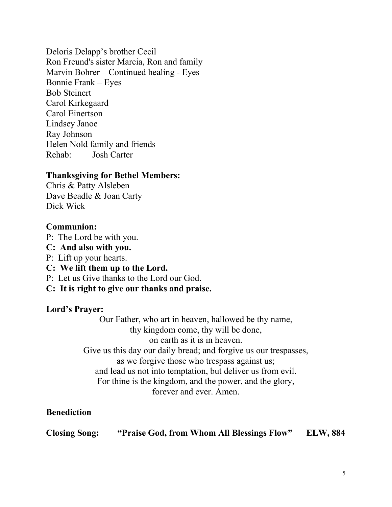Deloris Delapp's brother Cecil Ron Freund's sister Marcia, Ron and family Marvin Bohrer – Continued healing - Eyes Bonnie Frank – Eyes Bob Steinert Carol Kirkegaard Carol Einertson Lindsey Janoe Ray Johnson Helen Nold family and friends Rehab: Josh Carter

#### **Thanksgiving for Bethel Members:**

Chris & Patty Alsleben Dave Beadle & Joan Carty Dick Wick

#### **Communion:**

- P: The Lord be with you.
- **C: And also with you.**
- P: Lift up your hearts.
- **C: We lift them up to the Lord.**
- P: Let us Give thanks to the Lord our God.
- **C: It is right to give our thanks and praise.**

#### **Lord's Prayer:**

Our Father, who art in heaven, hallowed be thy name, thy kingdom come, thy will be done, on earth as it is in heaven. Give us this day our daily bread; and forgive us our trespasses, as we forgive those who trespass against us; and lead us not into temptation, but deliver us from evil. For thine is the kingdom, and the power, and the glory, forever and ever. Amen.

#### **Benediction**

**Closing Song: "Praise God, from Whom All Blessings Flow" ELW, 884**